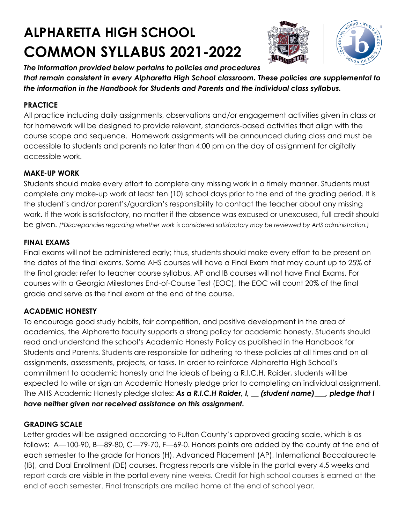# **ALPHARETTA HIGH SCHOOL COMMON SYLLABUS 2021-2022**





*The information provided below pertains to policies and procedures that remain consistent in every Alpharetta High School classroom. These policies are supplemental to the information in the Handbook for Students and Parents and the individual class syllabus.* 

### **PRACTICE**

All practice including daily assignments, observations and/or engagement activities given in class or for homework will be designed to provide relevant, standards-based activities that align with the course scope and sequence. Homework assignments will be announced during class and must be accessible to students and parents no later than 4:00 pm on the day of assignment for digitally accessible work.

#### **MAKE-UP WORK**

Students should make every effort to complete any missing work in a timely manner. Students must complete any make-up work at least ten (10) school days prior to the end of the grading period. It is the student's and/or parent's/guardian's responsibility to contact the teacher about any missing work. If the work is satisfactory, no matter if the absence was excused or unexcused, full credit should be given. *(\*Discrepancies regarding whether work is considered satisfactory may be reviewed by AHS administration.)*

#### **FINAL EXAMS**

Final exams will not be administered early; thus, students should make every effort to be present on the dates of the final exams. Some AHS courses will have a Final Exam that may count up to 25% of the final grade; refer to teacher course syllabus. AP and IB courses will not have Final Exams. For courses with a Georgia Milestones End-of-Course Test (EOC), the EOC will count 20% of the final grade and serve as the final exam at the end of the course.

# **ACADEMIC HONESTY**

To encourage good study habits, fair competition, and positive development in the area of academics, the Alpharetta faculty supports a strong policy for academic honesty. Students should read and understand the school's Academic Honesty Policy as published in the Handbook for Students and Parents. Students are responsible for adhering to these policies at all times and on all assignments, assessments, projects, or tasks. In order to reinforce Alpharetta High School's commitment to academic honesty and the ideals of being a R.I.C.H. Raider, students will be expected to write or sign an Academic Honesty pledge prior to completing an individual assignment. The AHS Academic Honesty pledge states: *As a R.I.C.H Raider, I, \_\_ (student name)\_\_\_, pledge that I have neither given nor received assistance on this assignment.* 

# **GRADING SCALE**

Letter grades will be assigned according to Fulton County's approved grading scale, which is as follows: A—100-90, B—89-80, C—79-70, F—69-0. Honors points are added by the county at the end of each semester to the grade for Honors (H), Advanced Placement (AP), International Baccalaureate (IB), and Dual Enrollment (DE) courses. Progress reports are visible in the portal every 4.5 weeks and report cards are visible in the portal every nine weeks. Credit for high school courses is earned at the end of each semester. Final transcripts are mailed home at the end of school year.